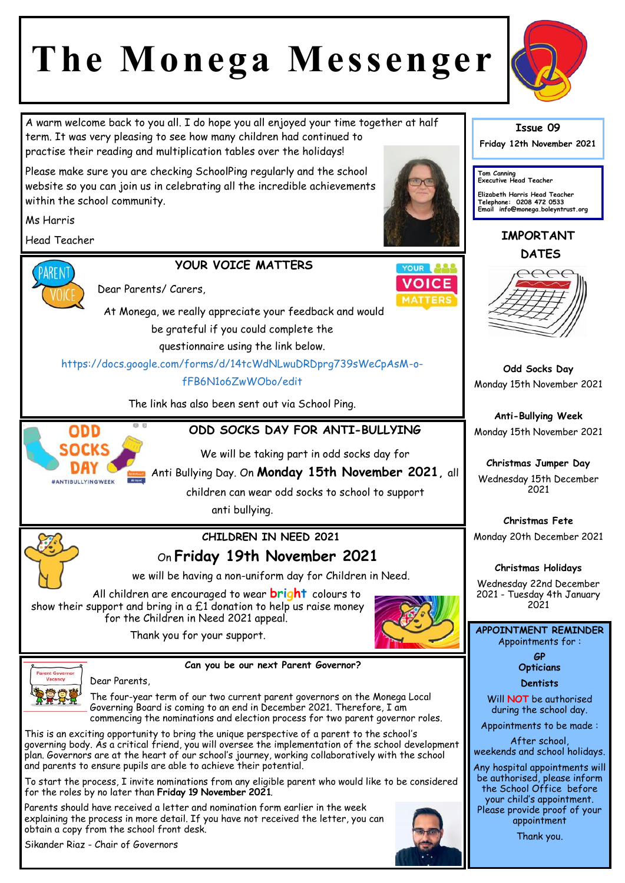## **The Monega Messenger**

A warm welcome back to you all. I do hope you all enjoyed your time together at half term. It was very pleasing to see how many children had continued to practise their reading and multiplication tables over the holidays!

Please make sure you are checking SchoolPing regularly and the school website so you can join us in celebrating all the incredible achievements within the school community.

Ms Harris

Head Teacher





Dear Parents/ Carers



At Monega, we really appreciate your feedback and would be grateful if you could complete the

questionnaire using the link below.

https://docs.google.com/forms/d/14tcWdNLwuDRDprg739sWeCpAsM-ofFB6N1o6ZwWObo/edit

The link has also been sent out via School Ping.



**ODD SOCKS DAY FOR ANTI-BULLYING** 

We will be taking part in odd socks day for

Anti Bullying Day. On **Monday 15th November 2021,** all

children can wear odd socks to school to support anti bullying.



### **CHILDREN IN NEED 2021** On **Friday 19th November 2021**

we will be having a non-uniform day for Children in Need.

All children are encouraged to wear **bright** colours to show their support and bring in a  $f1$  donation to help us raise money for the Children in Need 2021 appeal.



Thank you for your support.



Dear Parents,

**Can you be our next Parent Governor?**

The four-year term of our two current parent governors on the Monega Local Governing Board is coming to an end in December 2021. Therefore, I am commencing the nominations and election process for two parent governor roles.

This is an exciting opportunity to bring the unique perspective of a parent to the school's governing body. As a critical friend, you will oversee the implementation of the school development plan. Governors are at the heart of our school's journey, working collaboratively with the school and parents to ensure pupils are able to achieve their potential.

To start the process, I invite nominations from any eligible parent who would like to be considered for the roles by no later than **Friday 19 November 2021**.

Parents should have received a letter and nomination form earlier in the week explaining the process in more detail. If you have not received the letter, you can obtain a copy from the school front desk.





**Issue 09**

**Friday 12th November 2021** 

**Tom Canning Executive Head Teacher**

**Elizabeth Harris Head Teacher Telephone: 0208 472 0533 Email info@monega.boleyntrust.org** 

**IMPORTANT DATES**



**Odd Socks Day** Monday 15th November 2021

**Anti-Bullying Week** Monday 15th November 2021

**Christmas Jumper Day** Wednesday 15th December 2021

**Christmas Fete** Monday 20th December 2021

**Christmas Holidays**

Wednesday 22nd December 2021 - Tuesday 4th January 2021

**APPOINTMENT REMINDER** Appointments for :

> **GP Opticians**

**Dentists** 

Will **NOT** be authorised during the school day.

Appointments to be made :

After school, weekends and school holidays.

Any hospital appointments will be authorised, please inform the School Office before your child's appointment. Please provide proof of your appointment

Thank you.

Sikander Riaz - Chair of Governors